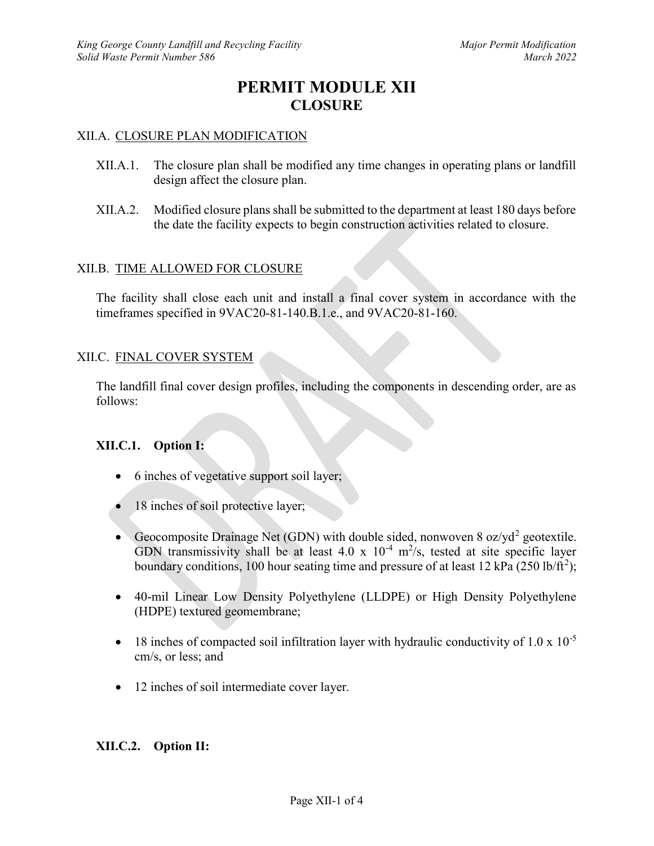# PERMIT MODULE XII **CLOSURE**

### XII.A. CLOSURE PLAN MODIFICATION

- XII.A.1. The closure plan shall be modified any time changes in operating plans or landfill design affect the closure plan.
- XII.A.2. Modified closure plans shall be submitted to the department at least 180 days before the date the facility expects to begin construction activities related to closure.

### XII.B. TIME ALLOWED FOR CLOSURE

The facility shall close each unit and install a final cover system in accordance with the timeframes specified in 9VAC20-81-140.B.1.e., and 9VAC20-81-160.

#### XII.C. FINAL COVER SYSTEM

The landfill final cover design profiles, including the components in descending order, are as follows:

#### XII.C.1. Option I:

- 6 inches of vegetative support soil layer;
- 18 inches of soil protective layer;
- Geocomposite Drainage Net (GDN) with double sided, nonwoven 8 oz/yd<sup>2</sup> geotextile. GDN transmissivity shall be at least 4.0 x  $10^{-4}$  m<sup>2</sup>/s, tested at site specific layer boundary conditions, 100 hour seating time and pressure of at least 12 kPa (250 lb/ft<sup>2</sup>);
- 40-mil Linear Low Density Polyethylene (LLDPE) or High Density Polyethylene (HDPE) textured geomembrane;
- $\bullet$  18 inches of compacted soil infiltration layer with hydraulic conductivity of 1.0 x 10<sup>-5</sup> cm/s, or less; and
- 12 inches of soil intermediate cover layer.

#### XII.C.2. Option II: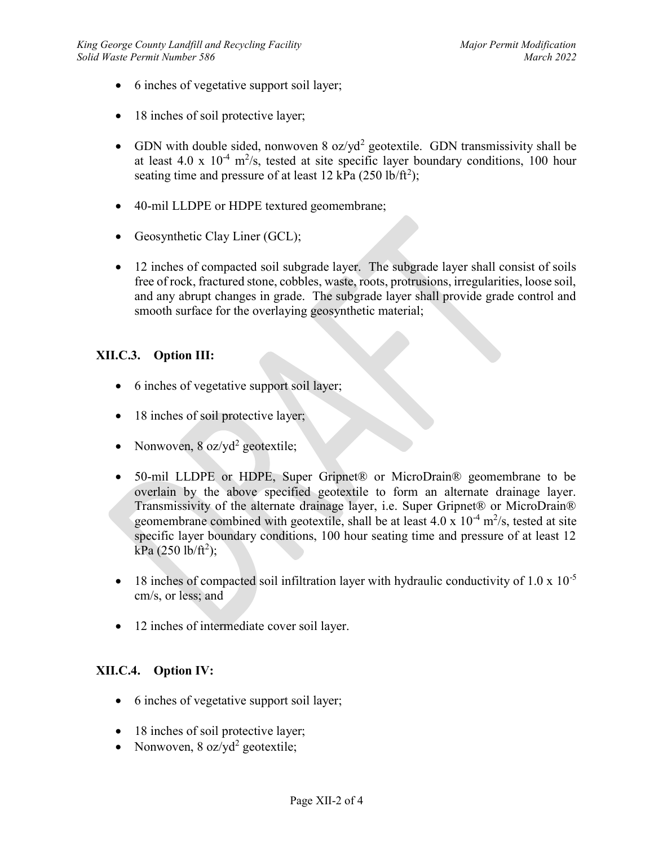- 6 inches of vegetative support soil layer;
- 18 inches of soil protective layer;
- GDN with double sided, nonwoven  $8 \text{ oz/yd}^2$  geotextile. GDN transmissivity shall be at least 4.0 x  $10^{-4}$  m<sup>2</sup>/s, tested at site specific layer boundary conditions, 100 hour seating time and pressure of at least 12 kPa  $(250 \text{ lb/ft}^2)$ ;
- 40-mil LLDPE or HDPE textured geomembrane;
- Geosynthetic Clay Liner (GCL);
- 12 inches of compacted soil subgrade layer. The subgrade layer shall consist of soils free of rock, fractured stone, cobbles, waste, roots, protrusions, irregularities, loose soil, and any abrupt changes in grade. The subgrade layer shall provide grade control and smooth surface for the overlaying geosynthetic material;

# XII.C.3. Option III:

- 6 inches of vegetative support soil layer;
- 18 inches of soil protective layer;
- Nonwoven,  $8 \text{ oz}/\text{yd}^2$  geotextile;
- 50-mil LLDPE or HDPE, Super Gripnet® or MicroDrain® geomembrane to be overlain by the above specified geotextile to form an alternate drainage layer. Transmissivity of the alternate drainage layer, i.e. Super Gripnet® or MicroDrain® geomembrane combined with geotextile, shall be at least  $4.0 \times 10^{-4}$  m<sup>2</sup>/s, tested at site specific layer boundary conditions, 100 hour seating time and pressure of at least 12 kPa (250 lb/ft<sup>2</sup>);
- $\bullet$  18 inches of compacted soil infiltration layer with hydraulic conductivity of 1.0 x 10<sup>-5</sup> cm/s, or less; and
- 12 inches of intermediate cover soil layer.

## XII.C.4. Option IV:

- 6 inches of vegetative support soil layer;
- 18 inches of soil protective layer;
- Nonwoven, 8 oz/yd<sup>2</sup> geotextile;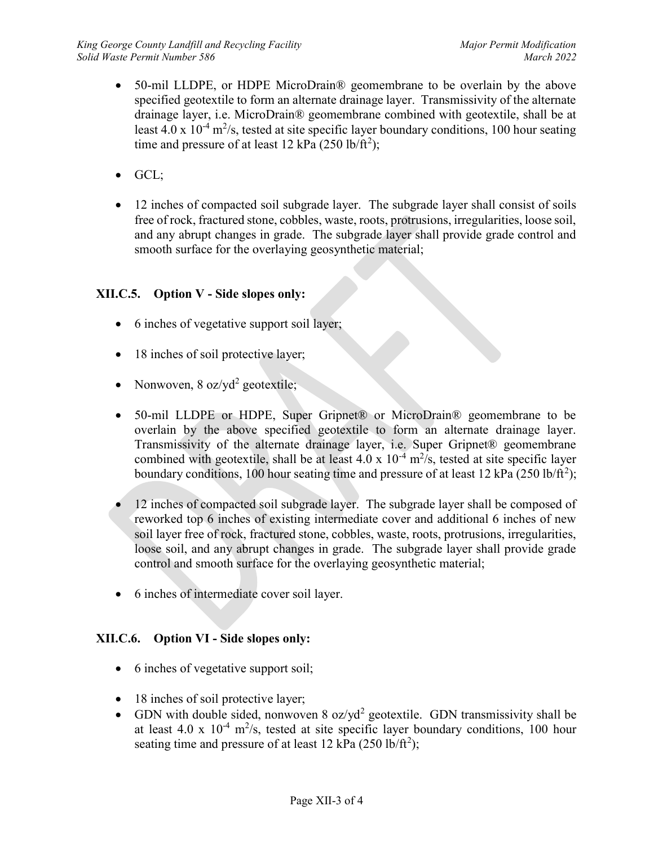- 50-mil LLDPE, or HDPE MicroDrain® geomembrane to be overlain by the above specified geotextile to form an alternate drainage layer. Transmissivity of the alternate drainage layer, i.e. MicroDrain® geomembrane combined with geotextile, shall be at least 4.0 x  $10^{-4}$  m<sup>2</sup>/s, tested at site specific layer boundary conditions, 100 hour seating time and pressure of at least 12 kPa  $(250 \text{ lb/ft}^2)$ ;
- $\bullet$  GCL;
- 12 inches of compacted soil subgrade layer. The subgrade layer shall consist of soils free of rock, fractured stone, cobbles, waste, roots, protrusions, irregularities, loose soil, and any abrupt changes in grade. The subgrade layer shall provide grade control and smooth surface for the overlaying geosynthetic material;

# XII.C.5. Option V - Side slopes only:

- 6 inches of vegetative support soil layer;
- 18 inches of soil protective layer;
- Nonwoven,  $8 \text{ oz}/\text{yd}^2$  geotextile;
- 50-mil LLDPE or HDPE, Super Gripnet® or MicroDrain® geomembrane to be overlain by the above specified geotextile to form an alternate drainage layer. Transmissivity of the alternate drainage layer, i.e. Super Gripnet® geomembrane combined with geotextile, shall be at least 4.0 x  $10^{-4}$  m<sup>2</sup>/s, tested at site specific layer boundary conditions, 100 hour seating time and pressure of at least 12 kPa (250 lb/ft<sup>2</sup>);
- 12 inches of compacted soil subgrade layer. The subgrade layer shall be composed of reworked top 6 inches of existing intermediate cover and additional 6 inches of new soil layer free of rock, fractured stone, cobbles, waste, roots, protrusions, irregularities, loose soil, and any abrupt changes in grade. The subgrade layer shall provide grade control and smooth surface for the overlaying geosynthetic material;
- 6 inches of intermediate cover soil layer.

## XII.C.6. Option VI - Side slopes only:

- 6 inches of vegetative support soil;
- 18 inches of soil protective layer;
- GDN with double sided, nonwoven  $8 \text{ oz/yd}^2$  geotextile. GDN transmissivity shall be at least 4.0 x  $10^{-4}$  m<sup>2</sup>/s, tested at site specific layer boundary conditions, 100 hour seating time and pressure of at least  $12$  kPa  $(250 \text{ lb/ft}^2)$ ;